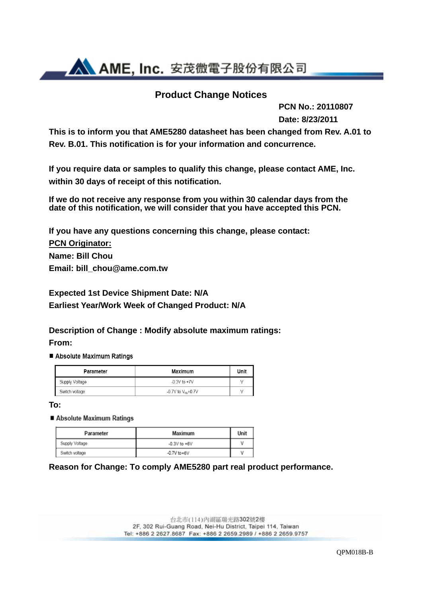**AN AME, Inc.** 安茂微電子股份有限公司

### **Product Change Notices**

 **PCN No.: 20110807 Date: 8/23/2011**

**This is to inform you that AME5280 datasheet has been changed from Rev. A.01 to Rev. B.01. This notification is for your information and concurrence.** 

**If you require data or samples to qualify this change, please contact AME, Inc. within 30 days of receipt of this notification.** 

**If we do not receive any response from you within 30 calendar days from the date of this notification, we will consider that you have accepted this PCN.** 

**If you have any questions concerning this change, please contact:** 

**PCN Originator: Name: Bill Chou Email: bill\_chou@ame.com.tw** 

**Expected 1st Device Shipment Date: N/A Earliest Year/Work Week of Changed Product: N/A** 

**Description of Change : Modify absolute maximum ratings: From:** 

Absolute Maximum Ratings

| Parameter      | Maximum                | Unit |
|----------------|------------------------|------|
| Supply Voltage | $-0.3V$ to $+7V$       |      |
| Switch voltage | -0.7V to $V_{IN}+0.7V$ |      |

**To:** 

Absolute Maximum Ratings

| Parameter      | Maximum          | Unit |
|----------------|------------------|------|
| Supply Voltage | $-0.3V$ to $+6V$ |      |
| Switch voltage | $-0.7V$ to $+6V$ |      |

### **Reason for Change: To comply AME5280 part real product performance.**

台北市(114) 內湖區瑞光路302號2樓 2F, 302 Rui-Guang Road, Nei-Hu District, Taipei 114, Taiwan Tel: +886 2 2627.8687 Fax: +886 2 2659.2989 / +886 2 2659.9757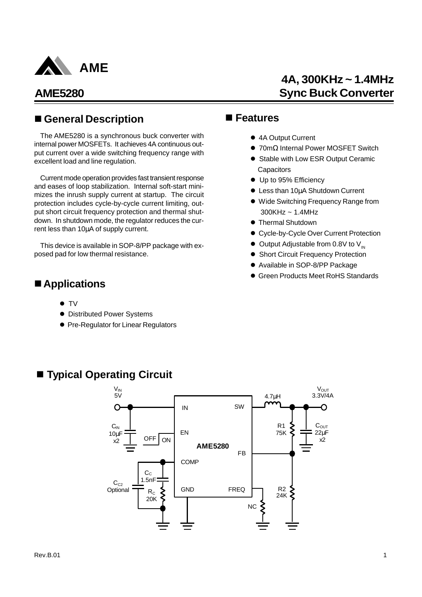

# **4A, 300KHz ~ 1.4MHz Sync Buck Converter**

## ■ General Description ■ Features

The AME5280 is a synchronous buck converter with internal power MOSFETs. It achieves 4A continuous output current over a wide switching frequency range with excellent load and line regulation.

Current mode operation provides fast transient response and eases of loop stabilization. Internal soft-start minimizes the inrush supply current at startup. The circuit protection includes cycle-by-cycle current limiting, output short circuit frequency protection and thermal shutdown. In shutdown mode, the regulator reduces the current less than 10μA of supply current.

This device is available in SOP-8/PP package with exposed pad for low thermal resistance.

## ■ Applications

- $\bullet$  TV
- **Distributed Power Systems**
- **Pre-Regulator for Linear Regulators**

- 4A Output Current
- <sup>1</sup> 70mΩ Internal Power MOSFET Switch
- **Stable with Low ESR Output Ceramic Capacitors**
- Up to 95% Efficiency
- **Less than 10μA Shutdown Current**
- $\bullet$  Wide Switching Frequency Range from 300KHz ~ 1.4MHz
- **Thermal Shutdown**
- **Cycle-by-Cycle Over Current Protection**
- $\bullet$  Output Adjustable from 0.8V to V<sub>IN</sub>
- **Short Circuit Frequency Protection**
- Available in SOP-8/PP Package
- **Green Products Meet RoHS Standards**



■ **Typical Operating Circuit**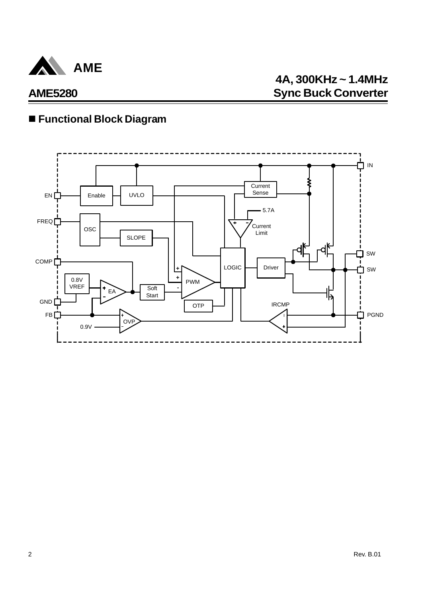

# n **Functional Block Diagram**

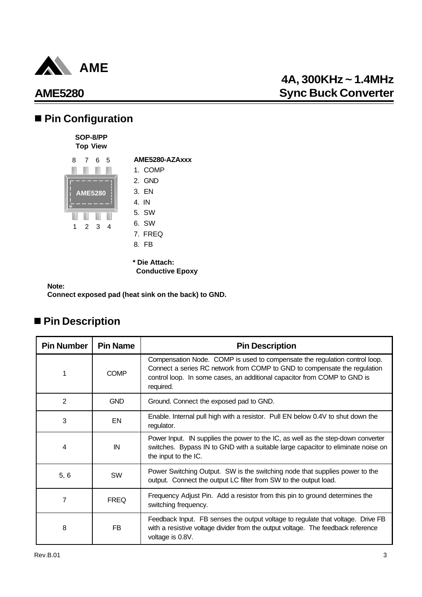

# **4A, 300KHz ~ 1.4MHz Sync Buck Converter**

# ■ Pin Configuration



**\* Die Attach: Conductive Epoxy**

**Note:**

**Connect exposed pad (heat sink on the back) to GND.**

# ■ Pin Description

| <b>Pin Number</b> | <b>Pin Name</b> | <b>Pin Description</b>                                                                                                                                                                                                                           |
|-------------------|-----------------|--------------------------------------------------------------------------------------------------------------------------------------------------------------------------------------------------------------------------------------------------|
| 1                 | <b>COMP</b>     | Compensation Node. COMP is used to compensate the regulation control loop.<br>Connect a series RC network from COMP to GND to compensate the regulation<br>control loop. In some cases, an additional capacitor from COMP to GND is<br>required. |
| 2                 | <b>GND</b>      | Ground. Connect the exposed pad to GND.                                                                                                                                                                                                          |
| 3                 | EN              | Enable. Internal pull high with a resistor. Pull EN below 0.4V to shut down the<br>regulator.                                                                                                                                                    |
| 4                 | IN              | Power Input. IN supplies the power to the IC, as well as the step-down converter<br>switches. Bypass IN to GND with a suitable large capacitor to eliminate noise on<br>the input to the IC.                                                     |
| 5, 6              | SW              | Power Switching Output. SW is the switching node that supplies power to the<br>output. Connect the output LC filter from SW to the output load.                                                                                                  |
| 7                 | <b>FREQ</b>     | Frequency Adjust Pin. Add a resistor from this pin to ground determines the<br>switching frequency.                                                                                                                                              |
| 8                 | FB              | Feedback Input. FB senses the output voltage to regulate that voltage. Drive FB<br>with a resistive voltage divider from the output voltage. The feedback reference<br>voltage is 0.8V.                                                          |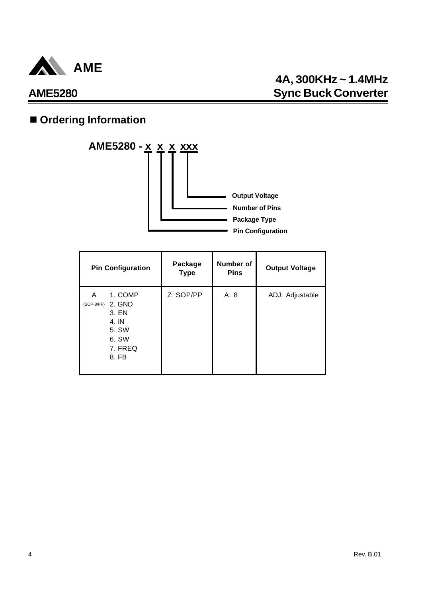

# $\blacksquare$  **Ordering Information**



| <b>Pin Configuration</b>                                                                     | Package<br><b>Type</b> | Number of<br><b>Pins</b> | <b>Output Voltage</b> |
|----------------------------------------------------------------------------------------------|------------------------|--------------------------|-----------------------|
| 1. COMP<br>A<br>2. GND<br>(SOP-8/PP)<br>3. EN<br>4. IN<br>5. SW<br>6. SW<br>7. FREQ<br>8. FB | Z: SOP/PP              | A: 8                     | ADJ: Adjustable       |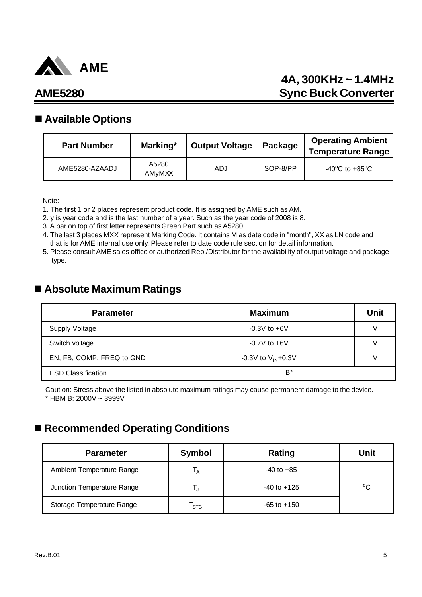

# **4A, 300KHz ~ 1.4MHz Sync Buck Converter**

## **AME5280**

### n **Available Options**

| <b>Part Number</b> | Marking*               | <b>Output Voltage</b> | Package  | <b>Operating Ambient</b><br><b>Temperature Range</b> |
|--------------------|------------------------|-----------------------|----------|------------------------------------------------------|
| AME5280-AZAADJ     | A5280<br><b>AMvMXX</b> | ADJ.                  | SOP-8/PP | $-40^{\circ}$ C to $+85^{\circ}$ C                   |

Note:

- 1. The first 1 or 2 places represent product code. It is assigned by AME such as AM.
- 2. y is year code and is the last number of a year. Such as the year code of 2008 is 8.
- 3. A bar on top of first letter represents Green Part such as A5280.
- 4. The last 3 places MXX represent Marking Code. It contains M as date code in "month", XX as LN code and that is for AME internal use only. Please refer to date code rule section for detail information.
- 5. Please consult AME sales office or authorized Rep./Distributor for the availability of output voltage and package type.

## n **Absolute Maximum Ratings**

| <b>Parameter</b>          | <b>Maximum</b>          | Unit |
|---------------------------|-------------------------|------|
| Supply Voltage            | $-0.3V$ to $+6V$        |      |
| Switch voltage            | $-0.7V$ to $+6V$        |      |
| EN, FB, COMP, FREQ to GND | -0.3V to $V_{IN}$ +0.3V |      |
| <b>ESD Classification</b> | B*                      |      |

Caution: Stress above the listed in absolute maximum ratings may cause permanent damage to the device. \* HBM B: 2000V ~ 3999V

## ■ Recommended Operating Conditions

| <b>Parameter</b>           | <b>Symbol</b>             | Rating          | Unit        |
|----------------------------|---------------------------|-----------------|-------------|
| Ambient Temperature Range  | ' A                       | $-40$ to $+85$  |             |
| Junction Temperature Range |                           | $-40$ to $+125$ | $^{\circ}C$ |
| Storage Temperature Range  | $\mathsf{T}_{\text{STG}}$ | $-65$ to $+150$ |             |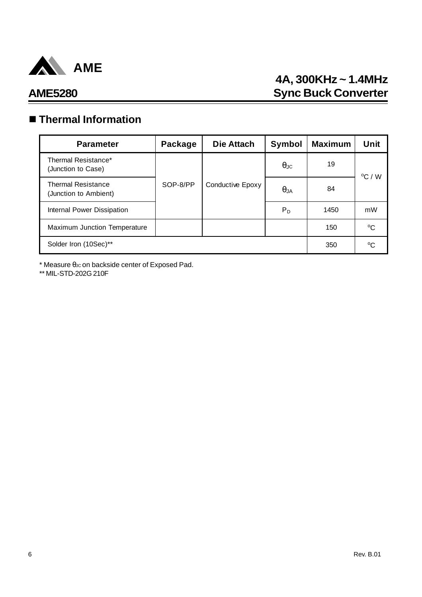

# **4A, 300KHz ~ 1.4MHz AME5280 Sync Buck Converter**

# n **Thermal Information**

| <b>Parameter</b>                                   | Package  | Die Attach       | Symbol               | <b>Maximum</b> | Unit            |
|----------------------------------------------------|----------|------------------|----------------------|----------------|-----------------|
| Thermal Resistance*<br>(Junction to Case)          |          |                  | $\theta_{\text{JC}}$ | 19             | $\rm ^{o}C$ / W |
| <b>Thermal Resistance</b><br>(Junction to Ambient) | SOP-8/PP | Conductive Epoxy | $\theta$ JA          | 84             |                 |
| Internal Power Dissipation                         |          |                  | $P_D$                | 1450           | mW              |
| Maximum Junction Temperature                       |          |                  |                      | 150            | °C              |
| Solder Iron (10Sec)**                              | 350      | °C               |                      |                |                 |

 $*$  Measure  $\theta$ Jc on backside center of Exposed Pad.

\*\* MIL-STD-202G 210F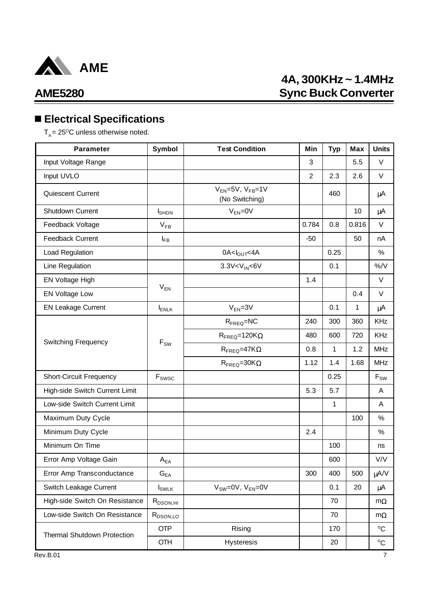

# **4A, 300KHz ~ 1.4MHz Sync Buck Converter**

# n **Electrical Specifications**

 $T_A = 25^{\circ}$ C unless otherwise noted.

| <b>Parameter</b>                   | <b>Symbol</b>                | <b>Test Condition</b>                           | Min            | <b>Typ</b> | <b>Max</b> | <b>Units</b>               |
|------------------------------------|------------------------------|-------------------------------------------------|----------------|------------|------------|----------------------------|
| Input Voltage Range                |                              |                                                 | 3              |            | 5.5        | V                          |
| Input UVLO                         |                              |                                                 | $\overline{2}$ | 2.3        | 2.6        | $\vee$                     |
| <b>Quiescent Current</b>           |                              | $V_{EN} = 5V$ , $V_{FB} = 1V$<br>(No Switching) |                | 460        |            | $\mu$ A                    |
| Shutdown Current                   | <b>I</b> SHDN                | $V_{EN} = 0V$                                   |                |            | 10         | μA                         |
| Feedback Voltage                   | $V_{FB}$                     |                                                 | 0.784          | 0.8        | 0.816      | V                          |
| Feedback Current                   | ŀв                           |                                                 | $-50$          |            | 50         | nA                         |
| Load Regulation                    |                              | $0A < I_{OUT} < 4A$                             |                | 0.25       |            | $\%$                       |
| Line Regulation                    |                              | 3.3V< V <sub>IN</sub> < 6V                      |                | 0.1        |            | $\%$ /V                    |
| EN Voltage High                    |                              |                                                 | 1.4            |            |            | V                          |
| <b>EN Voltage Low</b>              | $V_{EN}$                     |                                                 |                |            | 0.4        | V                          |
| <b>EN Leakage Current</b>          | $I_{ENLK}$                   | $V_{EN} = 3V$                                   |                | 0.1        | 1          | $\mu$ A                    |
|                                    |                              | $RFREQ=NC$                                      | 240            | 300        | 360        | <b>KHz</b>                 |
|                                    | $F_{SW}$                     | $R_{\text{FREQ}} = 120 K_{\Omega}$              | 480            | 600        | 720        | <b>KHz</b>                 |
| <b>Switching Frequency</b>         |                              | $R_{\text{FREQ}} = 47K\Omega$                   | 0.8            | 1          | 1.2        | <b>MHz</b>                 |
|                                    |                              | $R_{\text{FREQ}} = 30K\Omega$                   | 1.12           | 1.4        | 1.68       | <b>MHz</b>                 |
| <b>Short-Circuit Frequency</b>     | $\mathsf{F}_{\mathsf{SWSC}}$ |                                                 |                | 0.25       |            | $\mathsf{F}_{\mathsf{SW}}$ |
| High-side Switch Current Limit     |                              |                                                 | 5.3            | 5.7        |            | A                          |
| Low-side Switch Current Limit      |                              |                                                 |                | 1          |            | A                          |
| Maximum Duty Cycle                 |                              |                                                 |                |            | 100        | %                          |
| Minimum Duty Cycle                 |                              |                                                 | 2.4            |            |            | %                          |
| Minimum On Time                    |                              |                                                 |                | 100        |            | ns                         |
| Error Amp Voltage Gain             | $A_{EA}$                     |                                                 |                | 600        |            | V/V                        |
| Error Amp Transconductance         | $G_{EA}$                     |                                                 | 300            | 400        | 500        | µA/V                       |
| Switch Leakage Current             | $I_{SWLK}$                   | $V_{SW}=0V$ , $V_{EN}=0V$                       |                | 0.1        | 20         | $\mu$ A                    |
| High-side Switch On Resistance     | $R_{DSON,HI}$                |                                                 |                | 70         |            | $m\Omega$                  |
| Low-side Switch On Resistance      | $R_{DSON,LO}$                |                                                 |                | 70         |            | $m\Omega$                  |
| <b>Thermal Shutdown Protection</b> | <b>OTP</b>                   | Rising                                          |                | 170        |            | $^{\circ}$ C               |
|                                    | <b>OTH</b>                   | Hysteresis                                      |                | 20         |            | $^{\circ}C$                |
| <b>Rev.B.01</b>                    |                              |                                                 |                |            |            | 7                          |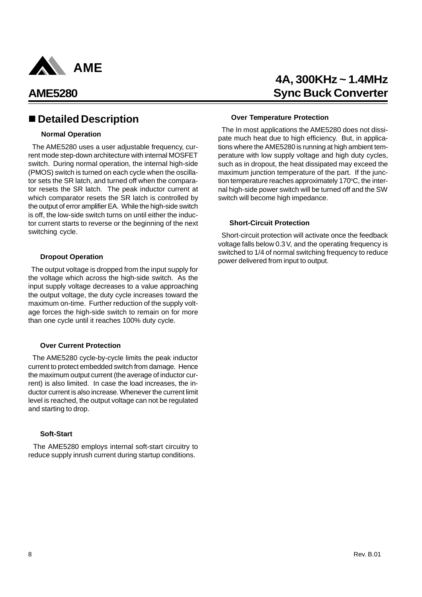

### n **Detailed Description**

### **Normal Operation**

 The AME5280 uses a user adjustable frequency, current mode step-down architecture with internal MOSFET switch. During normal operation, the internal high-side (PMOS) switch is turned on each cycle when the oscillator sets the SR latch, and turned off when the comparator resets the SR latch. The peak inductor current at which comparator resets the SR latch is controlled by the output of error amplifier EA. While the high-side switch is off, the low-side switch turns on until either the inductor current starts to reverse or the beginning of the next switching cycle.

### **Dropout Operation**

 The output voltage is dropped from the input supply for the voltage which across the high-side switch. As the input supply voltage decreases to a value approaching the output voltage, the duty cycle increases toward the maximum on-time. Further reduction of the supply voltage forces the high-side switch to remain on for more than one cycle until it reaches 100% duty cycle.

#### **Over Current Protection**

 The AME5280 cycle-by-cycle limits the peak inductor current to protect embedded switch from damage. Hence the maximum output current (the average of inductor current) is also limited. In case the load increases, the inductor current is also increase. Whenever the current limit level is reached, the output voltage can not be regulated and starting to drop.

#### **Soft-Start**

 The AME5280 employs internal soft-start circuitry to reduce supply inrush current during startup conditions.

# **4A, 300KHz ~ 1.4MHz AME5280 Sync Buck Converter**

### **Over Temperature Protection**

 The In most applications the AME5280 does not dissipate much heat due to high efficiency. But, in applications where the AME5280 is running at high ambient temperature with low supply voltage and high duty cycles, such as in dropout, the heat dissipated may exceed the maximum junction temperature of the part. If the junction temperature reaches approximately  $170^{\circ}$ C, the internal high-side power switch will be turned off and the SW switch will become high impedance.

### **Short-Circuit Protection**

 Short-circuit protection will activate once the feedback voltage falls below 0.3V, and the operating frequency is switched to 1/4 of normal switching frequency to reduce power delivered from input to output.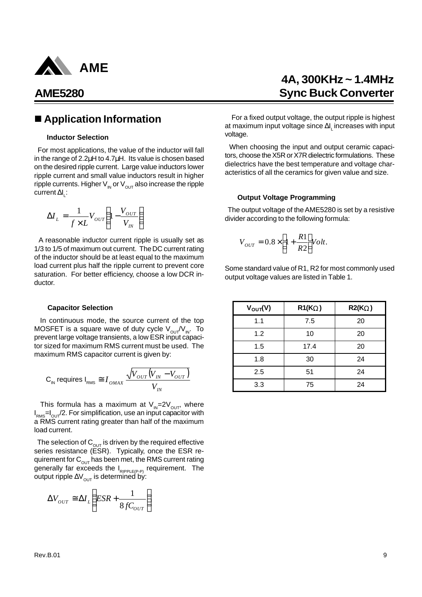

### ■ Application Information

### **Inductor Selection**

 For most applications, the value of the inductor will fall in the range of 2.2μH to 4.7μH. Its value is chosen based on the desired ripple current. Large value inductors lower ripple current and small value inductors result in higher ripple currents. Higher  $V_{in}$  or  $V_{out}$  also increase the ripple current Δl<sub>L</sub>:

$$
\Delta I_L = \frac{1}{f \times L} V_{OUT} \left( 1 - \frac{V_{OUT}}{V_{IN}} \right)
$$

 A reasonable inductor current ripple is usually set as 1/3 to 1/5 of maximum out current. The DC current rating of the inductor should be at least equal to the maximum load current plus half the ripple current to prevent core saturation. For better efficiency, choose a low DCR inductor.

#### **Capacitor Selection**

 In continuous mode, the source current of the top MOSFET is a square wave of duty cycle  $V_{\text{out}}/V_{\text{in}}$ . To prevent large voltage transients, a low ESR input capacitor sized for maximum RMS current must be used. The maximum RMS capacitor current is given by:

$$
\text{C}_{\text{\tiny IN}}\text{ requires I}_{\text{RMS}}\cong I_{\text{OMAX}}\frac{\sqrt{V_{\text{OUT}}\big(V_{\text{IN}}-V_{\text{OUT}}\big)}}{V_{\text{IN}}}
$$

This formula has a maximum at  $V_{\text{IN}}=2V_{\text{OUT}}$ , where  $I_{\text{\tiny RMS}}$ = $I_{\text{\tiny OUT}}$ /2. For simplification, use an input capacitor with a RMS current rating greater than half of the maximum load current.

The selection of  $C_{\text{OUT}}$  is driven by the required effective series resistance (ESR). Typically, once the ESR requirement for  $C_{\text{out}}$  has been met, the RMS current rating generally far exceeds the I<sub>RIPPLE(P-P)</sub> requirement. The output ripple  $\Delta V_{\text{out}}$  is determined by:

$$
\Delta V_{OUT} \cong \Delta I_L \left( ESR + \frac{1}{8fC_{OUT}} \right)
$$

# **4A, 300KHz ~ 1.4MHz Sync Buck Converter**

 For a fixed output voltage, the output ripple is highest at maximum input voltage since Δl<sub>∟</sub>increases with input voltage.

 When choosing the input and output ceramic capacitors, choose the X5R or X7R dielectric formulations. These dielectrics have the best temperature and voltage characteristics of all the ceramics for given value and size.

#### **Output Voltage Programming**

 The output voltage of the AME5280 is set by a resistive divider according to the following formula:

$$
V_{OUT} = 0.8 \times \left[1 + \frac{R1}{R2}\right] Volt.
$$

Some standard value of R1, R2 for most commonly used output voltage values are listed in Table 1.

| $V_{\text{OUT}}(V)$ | R1(KW) | <b>R2(KW)</b> |
|---------------------|--------|---------------|
| 1.1                 | 7.5    | 20            |
| 1.2                 | 10     | 20            |
| 1.5                 | 17.4   | 20            |
| 1.8                 | 30     | 24            |
| 2.5                 | 51     | 24            |
| 3.3                 | 75     | 24            |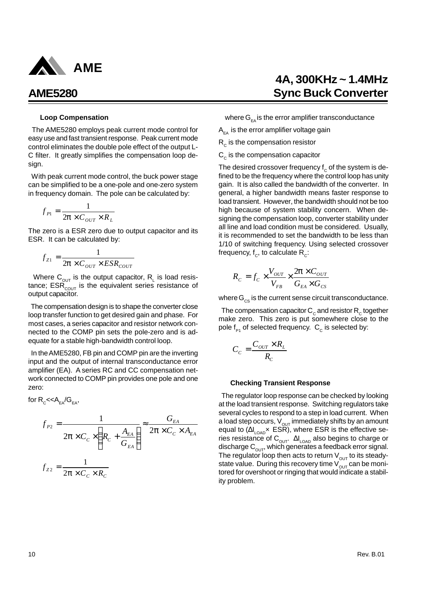

#### **Loop Compensation**

 The AME5280 employs peak current mode control for easy use and fast transient response. Peak current mode control eliminates the double pole effect of the output L-C filter. It greatly simplifies the compensation loop design.

 With peak current mode control, the buck power stage can be simplified to be a one-pole and one-zero system in frequency domain. The pole can be calculated by:

$$
f_{p_1} = \frac{1}{2\mathbf{p} \times C_{OUT} \times R_L}
$$

The zero is a ESR zero due to output capacitor and its ESR. It can be calculated by:

$$
f_{Z1} = \frac{1}{2\mathbf{p} \times C_{OUT} \times ESR_{COUT}}
$$

Where  $C_{\text{out}}$  is the output capacitor,  $R_{L}$  is load resistance;  $ESR_{\text{corr}}$  is the equivalent series resistance of output capacitor.

 The compensation design is to shape the converter close loop transfer function to get desired gain and phase. For most cases, a series capacitor and resistor network connected to the COMP pin sets the pole-zero and is adequate for a stable high-bandwidth control loop.

 In the AME5280, FB pin and COMP pin are the inverting input and the output of internal transconductance error amplifier (EA). A series RC and CC compensation network connected to COMP pin provides one pole and one zero:

for  $\mathsf{R}_{\mathsf{c}}\mathsf{<}\mathsf{<}\mathsf{A}_{\mathsf{E}\mathsf{A}}\!/\mathsf{G}_{\mathsf{E}\mathsf{A}}^{\phantom{\dag}},$ 

$$
f_{P2} = \frac{1}{2\mathbf{p} \times C_c \times \left(R_c + \frac{A_{EA}}{G_{EA}}\right)} \approx \frac{G_{EA}}{2\mathbf{p} \times C_c \times A_{EA}}
$$

$$
f_{Z2} = \frac{1}{2\mathbf{p} \times C_c \times R_c}
$$

where  $G_{E_A}$  is the error amplifier transconductance

 $A_{FA}$  is the error amplifier voltage gain

 $\mathsf{R}_{_\mathrm{C}}$  is the compensation resistor

 $\mathsf{C}_{_{\mathrm{C}}}$  is the compensation capacitor

The desired crossover frequency  $\mathsf{f}_{\rm c}$  of the system is defined to be the frequency where the control loop has unity gain. It is also called the bandwidth of the converter. In general, a higher bandwidth means faster response to load transient. However, the bandwidth should not be too high because of system stability concern. When designing the compensation loop, converter stability under all line and load condition must be considered. Usually, it is recommended to set the bandwidth to be less than 1/10 of switching frequency. Using selected crossover frequency,  $\boldsymbol{\mathsf{f}}_\text{c}$ , to calculate  $\boldsymbol{\mathsf{R}}_\text{c}$ :

$$
R_{c} = f_{c} \times \frac{V_{OUT}}{V_{FB}} \times \frac{2\mathbf{p} \times C_{OUT}}{G_{EA} \times G_{CS}}
$$

where  $G_{cs}$  is the current sense circuit transconductance.

The compensation capacitor  $\mathsf{C}_{\mathrm{c}}$  and resistor  $\mathsf{R}_{\mathrm{c}}$  together make zero. This zero is put somewhere close to the pole  $\bm{{\mathsf f}}_{\mathsf P1}$  of selected frequency.  $\bm{\mathsf C}_{_{\mathsf C}}$  is selected by:

$$
C_{C} = \frac{C_{\text{OUT}} \times R_{\text{L}}}{R_{\text{C}}}
$$

#### **Checking Transient Response**

 The regulator loop response can be checked by looking at the load transient response. Switching regulators take several cycles to respond to a step in load current. When a load step occurs,  $V_{\text{out}}$  immediately shifts by an amount equal to (ΔI<sub>LOAD</sub>× ESR), where ESR is the effective series resistance of  $\mathtt{C_{\rm OUT}}$ .  $\mathtt{Al_{\rm LOAD}}$  also begins to charge or discharge  $\mathtt{C}_{\mathsf{OUT}}^{}$ , which generates a feedback error signal. The regulator loop then acts to return  $V_{\text{out}}$  to its steadystate value. During this recovery time  $V_{\text{OUT}}$  can be monitored for overshoot or ringing that would indicate a stability problem.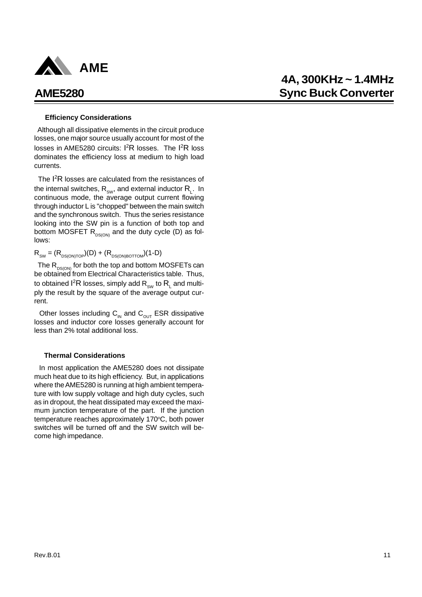

### **Efficiency Considerations**

 Although all dissipative elements in the circuit produce losses, one major source usually account for most of the losses in AME5280 circuits: I<sup>2</sup>R losses. The I<sup>2</sup>R loss dominates the efficiency loss at medium to high load currents.

The I<sup>2</sup>R losses are calculated from the resistances of the internal switches,  $\mathsf{R}_{\mathsf{sw}}$ , and external inductor  $\mathsf{R}_{\mathsf{L}}$ . In continuous mode, the average output current flowing through inductor L is "chopped" between the main switch and the synchronous switch. Thus the series resistance looking into the SW pin is a function of both top and bottom MOSFET  $R_{DS(ON)}$  and the duty cycle (D) as follows:

 $R_{SW} = (R_{DS(ON)TOP})(D) + (R_{DS(ON)BOTTON})(1-D)$ 

The  $R_{DS(ON)}$  for both the top and bottom MOSFETs can be obtained from Electrical Characteristics table. Thus, to obtained I<sup>2</sup>R losses, simply add  $\mathsf{R}_{_{\mathrm{SW}}}$  to  $\mathsf{R}_{_\mathsf{L}}$  and multiply the result by the square of the average output current.

Other losses including  $C_{\text{IN}}$  and  $C_{\text{OUT}}$  ESR dissipative losses and inductor core losses generally account for less than 2% total additional loss.

### **Thermal Considerations**

 In most application the AME5280 does not dissipate much heat due to its high efficiency. But, in applications where the AME5280 is running at high ambient temperature with low supply voltage and high duty cycles, such as in dropout, the heat dissipated may exceed the maximum junction temperature of the part. If the junction temperature reaches approximately 170°C, both power switches will be turned off and the SW switch will become high impedance.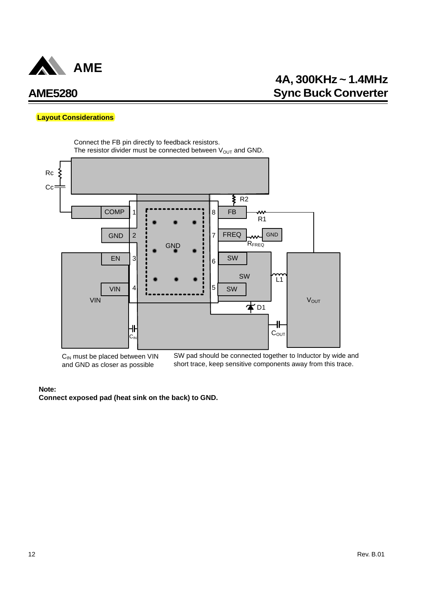

### **Layout Considerations**



 $C<sub>IN</sub>$  must be placed between VIN and GND as closer as possible

SW pad should be connected together to Inductor by wide and short trace, keep sensitive components away from this trace.

### **Note:**

**Connect exposed pad (heat sink on the back) to GND.**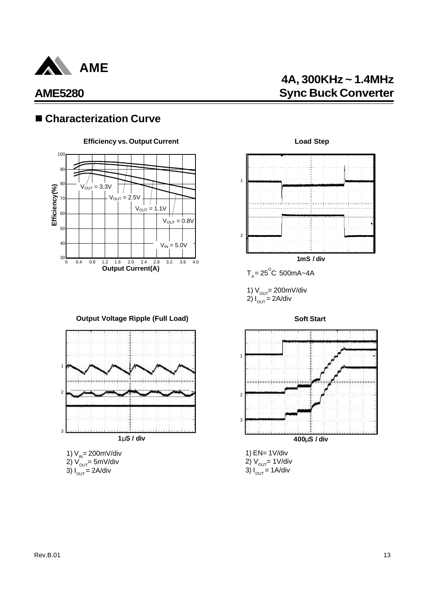

# **4A, 300KHz ~ 1.4MHz Sync Buck Converter**

## ■ Characterization Curve



**Output Voltage Ripple (Full Load)**



- 2) V<sub>ouт</sub>= 5mV/div
- 3) I<sub>out</sub> = 2A/div





1) EN= 1V/div 2)  $V_{\text{out}}$  = 1V/div  $3) I_{\text{out}} = 1$  A/div

2

3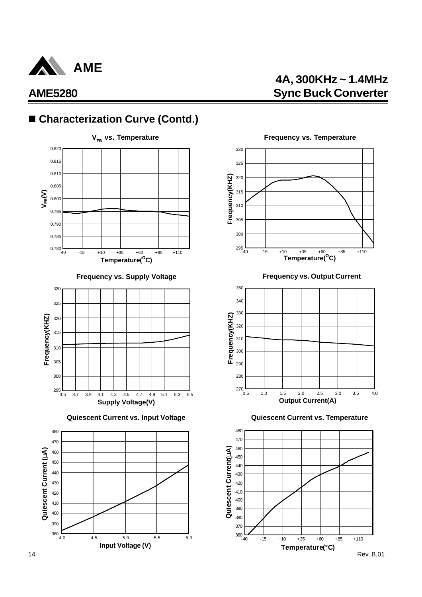

# **4A, 300KHz ~ 1.4MHz AME5280 Sync Buck Converter**

# ■ Characterization Curve (Contd.)





**Quiescent Current vs. Input Voltage Quiescent Current vs. Temperature**





**Frequency vs. Supply Voltage Frequency vs. Output Current**



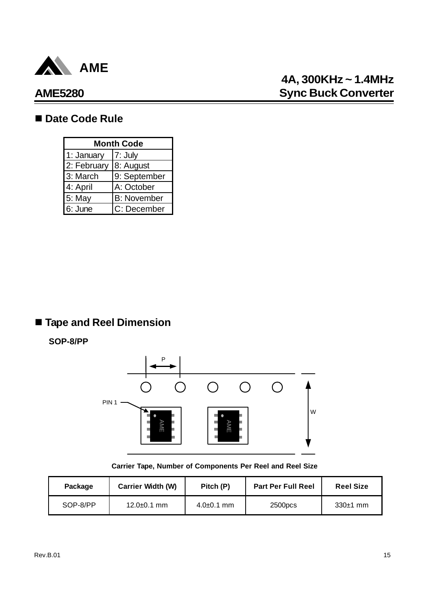

# **4A, 300KHz ~ 1.4MHz Sync Buck Converter**

### ■ Date Code Rule

| <b>Month Code</b> |                    |  |  |
|-------------------|--------------------|--|--|
| 1: January        | 7: July            |  |  |
| 2: February       | 8: August          |  |  |
| 3: March          | 9: September       |  |  |
| 4: April          | A: October         |  |  |
| 5: May            | <b>B:</b> November |  |  |
| 6: June           | C: December        |  |  |

# n **Tape and Reel Dimension**

### **SOP-8/PP**



**Carrier Tape, Number of Components Per Reel and Reel Size**

| Package  | <b>Carrier Width (W)</b> | Pitch (P)        | <b>Part Per Full Reel</b> | <b>Reel Size</b> |
|----------|--------------------------|------------------|---------------------------|------------------|
| SOP-8/PP | 12.0±0.1 mm              | $4.0{\pm}0.1$ mm | 2500pcs                   | $330±1$ mm       |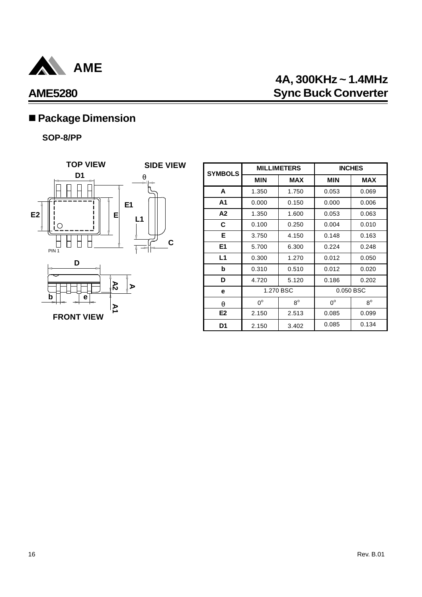

# **4A, 300KHz ~ 1.4MHz AME5280 Sync Buck Converter**

# ■ Package Dimension

### **SOP-8/PP**



| <b>SYMBOLS</b> | <b>MILLIMETERS</b> |             | <b>INCHES</b> |             |
|----------------|--------------------|-------------|---------------|-------------|
|                | <b>MIN</b>         | <b>MAX</b>  | <b>MIN</b>    | <b>MAX</b>  |
| A              | 1.350              | 1.750       | 0.053         | 0.069       |
| A1             | 0.000              | 0.150       | 0.000         | 0.006       |
| A2             | 1.350              | 1.600       | 0.053         | 0.063       |
| C              | 0.100              | 0.250       | 0.004         | 0.010       |
| Е              | 3.750              | 4.150       | 0.148         | 0.163       |
| E <sub>1</sub> | 5.700              | 6.300       | 0.224         | 0.248       |
| L1             | 0.300              | 1.270       | 0.012         | 0.050       |
| b              | 0.310              | 0.510       | 0.012         | 0.020       |
| D              | 4.720              | 5.120       | 0.186         | 0.202       |
| e              | 1.270 BSC          |             | 0.050 BSC     |             |
| a              | $0^{\circ}$        | $8^{\circ}$ | $0^{\circ}$   | $8^{\circ}$ |
| E <sub>2</sub> | 2.150              | 2.513       | 0.085         | 0.099       |
| D1             | 2.150              | 3.402       | 0.085         | 0.134       |